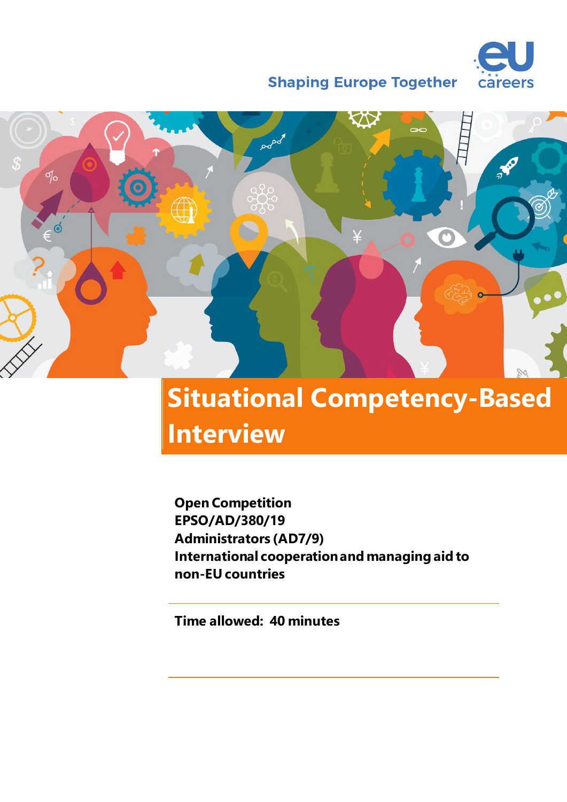

**Shaping Europe Together** 



# **Situational Competency-Based Interview**

**Open Competition EPSO/AD/380/19 Administrators (AD7/9) International cooperation and managing aid to non-EU countries**

**Time allowed: 40 minutes**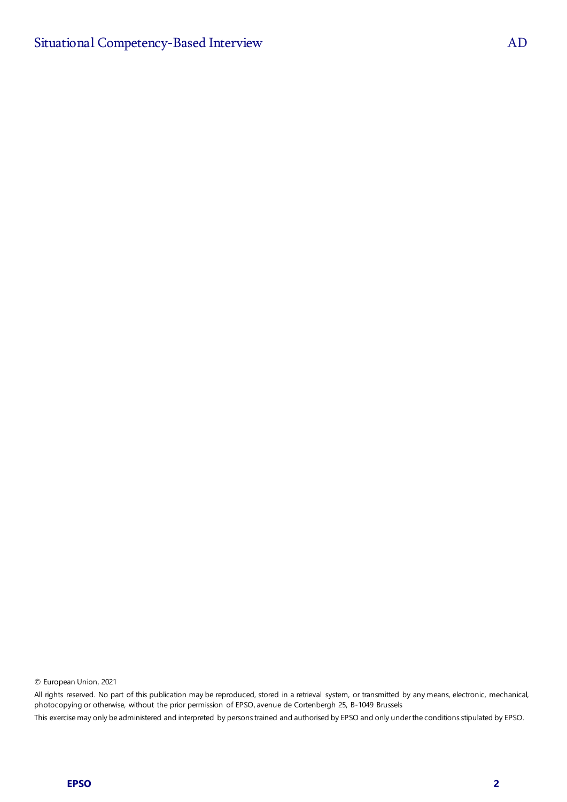© European Union, 2021

All rights reserved. No part of this publication may be reproduced, stored in a retrieval system, or transmitted by any means, electronic, mechanical, photocopying or otherwise, without the prior permission of EPSO, avenue de Cortenbergh 25, B-1049 Brussels This exercise may only be administered and interpreted by persons trained and authorised by EPSO and only under the conditions stipulated by EPSO.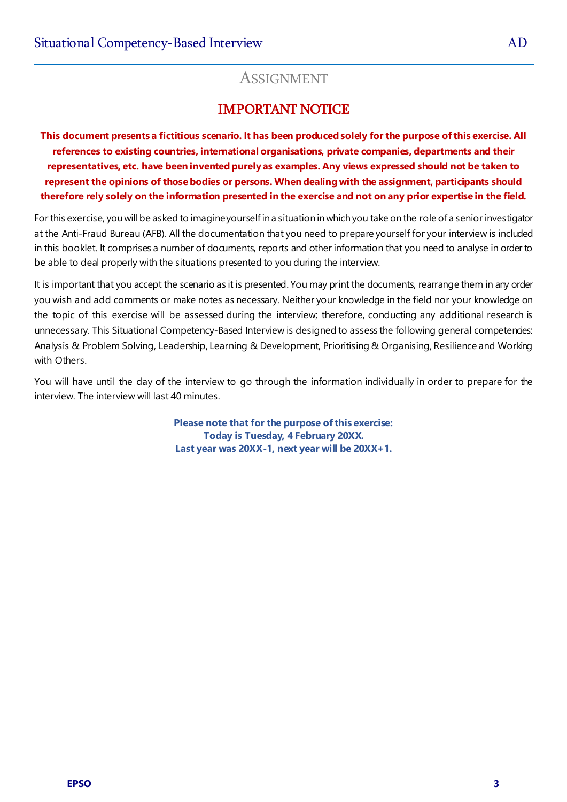### IMPORTANT NOTICE

**This document presents a fictitious scenario. It has been produced solely for the purpose of this exercise. All references to existing countries, international organisations, private companies, departments and their representatives, etc. have been invented purely as examples. Any views expressed should not be taken to represent the opinions of those bodies or persons. When dealing with the assignment, participants should therefore rely solely on the information presented in the exercise and not on any prior expertise in the field.**

For this exercise, you will be asked to imagineyourself in a situation in whichyou take on the role of a senior investigator at the Anti-Fraud Bureau (AFB). All the documentation that you need to prepare yourself for your interview is included in this booklet. It comprises a number of documents, reports and other information that you need to analyse in order to be able to deal properly with the situations presented to you during the interview.

It is important that you accept the scenario as it is presented. You may print the documents, rearrange them in any order you wish and add comments or make notes as necessary. Neither your knowledge in the field nor your knowledge on the topic of this exercise will be assessed during the interview; therefore, conducting any additional research is unnecessary. This Situational Competency-Based Interview is designed to assess the following general competencies: Analysis & Problem Solving, Leadership, Learning & Development, Prioritising & Organising, Resilience and Working with Others.

You will have until the day of the interview to go through the information individually in order to prepare for the interview. The interview will last 40 minutes.

> **Please note that for the purpose of this exercise: Today is Tuesday, 4 February 20XX. Last year was 20XX-1, next year will be 20XX+1.**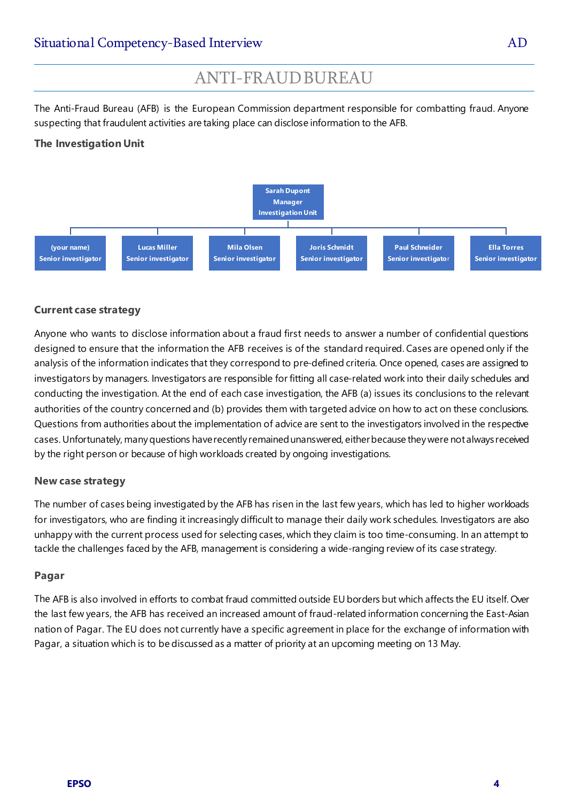### ANTI-FRAUDBUREAU

The Anti-Fraud Bureau (AFB) is the European Commission department responsible for combatting fraud. Anyone suspecting that fraudulent activities are taking place can disclose information to the AFB.

#### **The Investigation Unit**



#### **Current case strategy**

Anyone who wants to disclose information about a fraud first needs to answer a number of confidential questions designed to ensure that the information the AFB receives is of the standard required. Cases are opened only if the analysis of the information indicates that they correspond to pre-defined criteria. Once opened, cases are assigned to investigators by managers. Investigators are responsible for fitting all case-related work into their daily schedules and conducting the investigation. At the end of each case investigation, the AFB (a) issues its conclusions to the relevant authorities of the country concerned and (b) provides them with targeted advice on how to act on these conclusions. Questions from authorities about the implementation of advice are sent to the investigators involved in the respective cases. Unfortunately, many questions have recently remainedunanswered, eitherbecause they were not always received by the right person or because of high workloads created by ongoing investigations.

#### **New case strategy**

The number of cases being investigated by the AFB has risen in the last few years, which has led to higher workloads for investigators, who are finding it increasingly difficult to manage their daily work schedules. Investigators are also unhappy with the current process used for selecting cases, which they claim is too time-consuming. In an attempt to tackle the challenges faced by the AFB, management is considering a wide-ranging review of its case strategy.

#### **Pagar**

The AFB is also involved in efforts to combat fraud committed outside EU borders but which affects the EU itself. Over the last few years, the AFB has received an increased amount of fraud-related information concerning the East-Asian nation of Pagar. The EU does not currently have a specific agreement in place for the exchange of information with Pagar, a situation which is to be discussed as a matter of priority at an upcoming meeting on 13 May.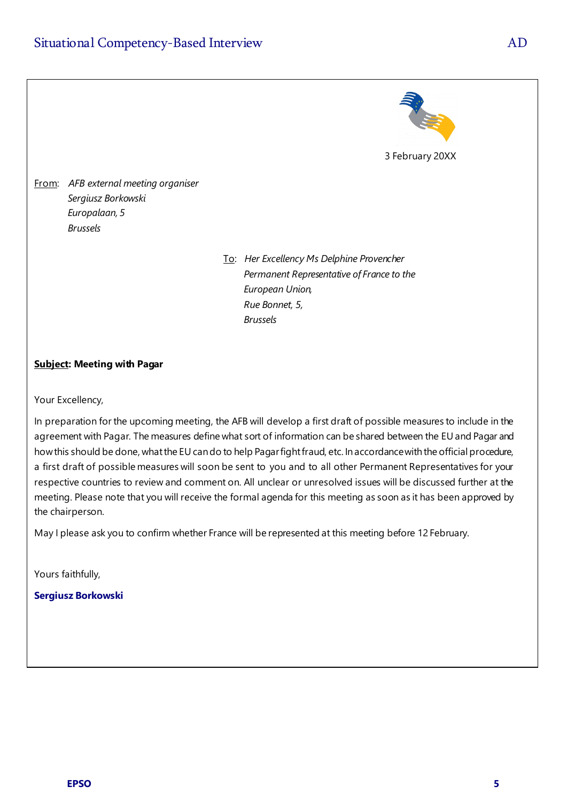

From: *AFB external meeting organiser Sergiusz Borkowski Europalaan, 5 Brussels*

> To: *Her Excellency Ms Delphine Provencher Permanent Representative of France to the European Union, Rue Bonnet, 5, Brussels*

#### **Subject: Meeting with Pagar**

Your Excellency,

In preparation for the upcoming meeting, the AFB will develop a first draft of possible measures to include in the agreement with Pagar. The measures define what sort of information can be shared between the EU and Pagar and how this should be done, what the EU can do to help Pagar fight fraud, etc. In accordance with the official procedure, a first draft of possible measures will soon be sent to you and to all other Permanent Representatives for your respective countries to review and comment on. All unclear or unresolved issues will be discussed further at the meeting. Please note that you will receive the formal agenda for this meeting as soon as it has been approved by the chairperson.

May I please ask you to confirm whether France will be represented at this meeting before 12 February.

Yours faithfully,

#### **Sergiusz Borkowski**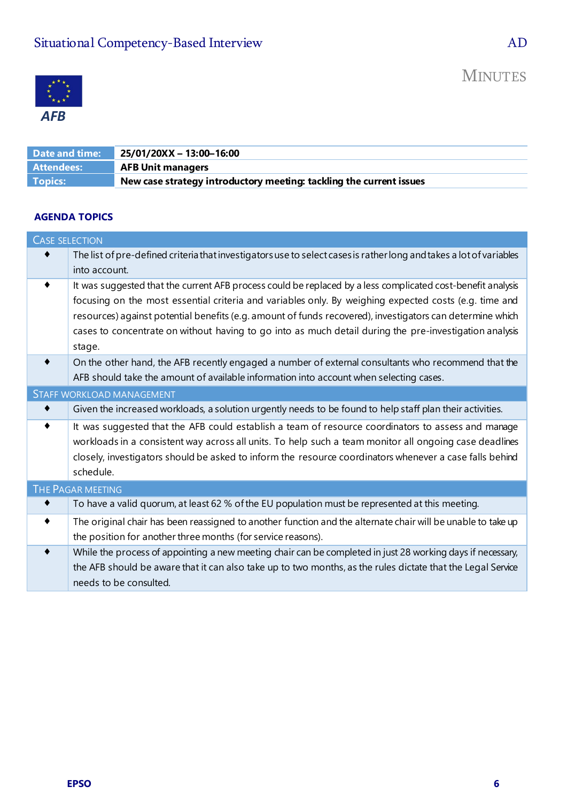

| Date and time: | 25/01/20XX - 13:00-16:00                                            |
|----------------|---------------------------------------------------------------------|
| Attendees:     | <b>AFB Unit managers</b>                                            |
| Topics:        | New case strategy introductory meeting: tackling the current issues |

#### **AGENDA TOPICS**

|                 | <b>CASE SELECTION</b>                                                                                              |  |  |  |  |  |
|-----------------|--------------------------------------------------------------------------------------------------------------------|--|--|--|--|--|
|                 | The list of pre-defined criteria that investigators use to select cases is ratherlong and takes a lot of variables |  |  |  |  |  |
|                 | into account.                                                                                                      |  |  |  |  |  |
| $\bullet$       | It was suggested that the current AFB process could be replaced by a less complicated cost-benefit analysis        |  |  |  |  |  |
|                 | focusing on the most essential criteria and variables only. By weighing expected costs (e.g. time and              |  |  |  |  |  |
|                 | resources) against potential benefits (e.g. amount of funds recovered), investigators can determine which          |  |  |  |  |  |
|                 | cases to concentrate on without having to go into as much detail during the pre-investigation analysis             |  |  |  |  |  |
|                 | stage.                                                                                                             |  |  |  |  |  |
| $\bullet$       | On the other hand, the AFB recently engaged a number of external consultants who recommend that the                |  |  |  |  |  |
|                 | AFB should take the amount of available information into account when selecting cases.                             |  |  |  |  |  |
|                 | <b>STAFF WORKLOAD MANAGEMENT</b>                                                                                   |  |  |  |  |  |
| $\blacklozenge$ | Given the increased workloads, a solution urgently needs to be found to help staff plan their activities.          |  |  |  |  |  |
|                 | It was suggested that the AFB could establish a team of resource coordinators to assess and manage                 |  |  |  |  |  |
|                 | workloads in a consistent way across all units. To help such a team monitor all ongoing case deadlines             |  |  |  |  |  |
|                 | closely, investigators should be asked to inform the resource coordinators whenever a case falls behind            |  |  |  |  |  |
|                 | schedule.                                                                                                          |  |  |  |  |  |
|                 | THE PAGAR MEETING                                                                                                  |  |  |  |  |  |
|                 | To have a valid quorum, at least 62 % of the EU population must be represented at this meeting.                    |  |  |  |  |  |
|                 | The original chair has been reassigned to another function and the alternate chair will be unable to take up       |  |  |  |  |  |
|                 | the position for another three months (for service reasons).                                                       |  |  |  |  |  |
|                 | While the process of appointing a new meeting chair can be completed in just 28 working days if necessary,         |  |  |  |  |  |
|                 | the AFB should be aware that it can also take up to two months, as the rules dictate that the Legal Service        |  |  |  |  |  |
|                 | needs to be consulted.                                                                                             |  |  |  |  |  |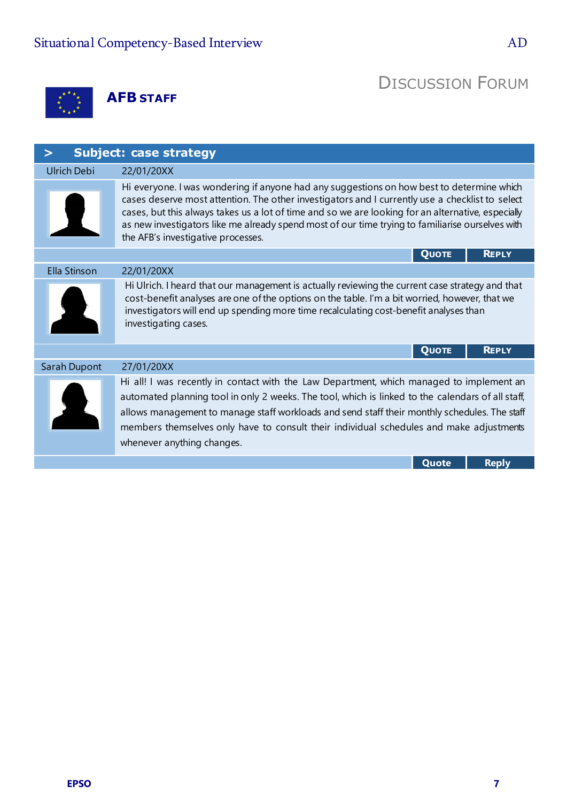**AFB STAFF**

## DISCUSSION FORUM

| <b>Subject: case strategy</b> |                                                                                                                                                                                                                                                                                                                                                                                                                                              |  |  |  |  |  |  |
|-------------------------------|----------------------------------------------------------------------------------------------------------------------------------------------------------------------------------------------------------------------------------------------------------------------------------------------------------------------------------------------------------------------------------------------------------------------------------------------|--|--|--|--|--|--|
| <b>Ulrich Debi</b>            | 22/01/20XX                                                                                                                                                                                                                                                                                                                                                                                                                                   |  |  |  |  |  |  |
|                               | Hi everyone. I was wondering if anyone had any suggestions on how best to determine which<br>cases deserve most attention. The other investigators and I currently use a checklist to select<br>cases, but this always takes us a lot of time and so we are looking for an alternative, especially<br>as new investigators like me already spend most of our time trying to familiarise ourselves with<br>the AFB's investigative processes. |  |  |  |  |  |  |
|                               | <b>REPLY</b><br><b>QUOTE</b>                                                                                                                                                                                                                                                                                                                                                                                                                 |  |  |  |  |  |  |
| Ella Stinson                  | 22/01/20XX                                                                                                                                                                                                                                                                                                                                                                                                                                   |  |  |  |  |  |  |
|                               | Hi Ulrich. I heard that our management is actually reviewing the current case strategy and that<br>cost-benefit analyses are one of the options on the table. I'm a bit worried, however, that we<br>investigators will end up spending more time recalculating cost-benefit analyses than<br>investigating cases.                                                                                                                           |  |  |  |  |  |  |
|                               | <b>REPLY</b><br><b>QUOTE</b>                                                                                                                                                                                                                                                                                                                                                                                                                 |  |  |  |  |  |  |
| Sarah Dupont                  | 27/01/20XX                                                                                                                                                                                                                                                                                                                                                                                                                                   |  |  |  |  |  |  |
|                               | Hi all! I was recently in contact with the Law Department, which managed to implement an<br>automated planning tool in only 2 weeks. The tool, which is linked to the calendars of all staff,<br>allows management to manage staff workloads and send staff their monthly schedules. The staff<br>members themselves only have to consult their individual schedules and make adjustments<br>whenever anything changes.                      |  |  |  |  |  |  |
|                               | <b>Reply</b><br>Quote                                                                                                                                                                                                                                                                                                                                                                                                                        |  |  |  |  |  |  |